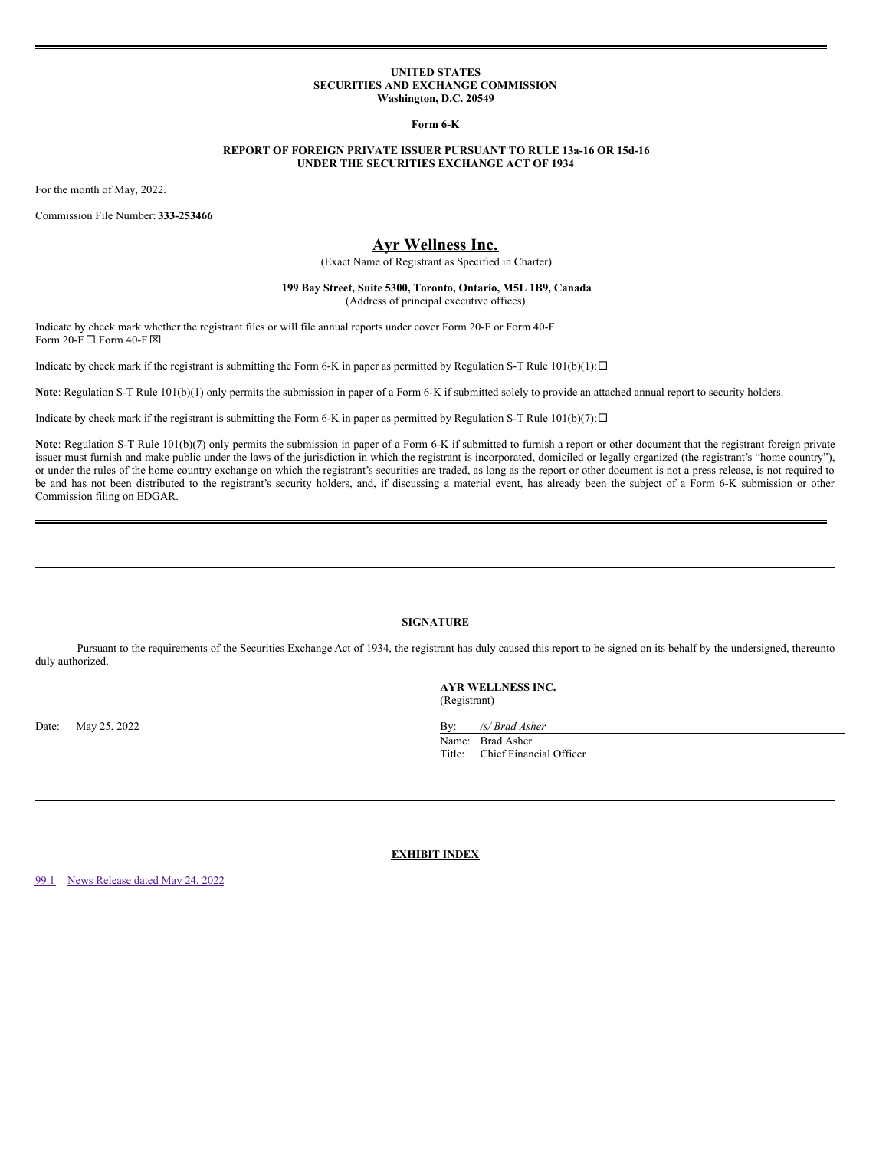### **UNITED STATES SECURITIES AND EXCHANGE COMMISSION Washington, D.C. 20549**

**Form 6-K**

## **REPORT OF FOREIGN PRIVATE ISSUER PURSUANT TO RULE 13a-16 OR 15d-16 UNDER THE SECURITIES EXCHANGE ACT OF 1934**

For the month of May, 2022.

Commission File Number: **333-253466**

# **Ayr Wellness Inc.**

(Exact Name of Registrant as Specified in Charter)

**199 Bay Street, Suite 5300, Toronto, Ontario, M5L 1B9, Canada** (Address of principal executive offices)

Indicate by check mark whether the registrant files or will file annual reports under cover Form 20-F or Form 40-F. Form 20-F  $\Box$  Form 40-F  $\boxtimes$ 

Indicate by check mark if the registrant is submitting the Form 6-K in paper as permitted by Regulation S-T Rule  $101(b)(1): \Box$ 

**Note**: Regulation S-T Rule 101(b)(1) only permits the submission in paper of a Form 6-K if submitted solely to provide an attached annual report to security holders.

Indicate by check mark if the registrant is submitting the Form 6-K in paper as permitted by Regulation S-T Rule  $101(b)(7): \Box$ 

Note: Regulation S-T Rule 101(b)(7) only permits the submission in paper of a Form 6-K if submitted to furnish a report or other document that the registrant foreign private issuer must furnish and make public under the laws of the jurisdiction in which the registrant is incorporated, domiciled or legally organized (the registrant's "home country"), or under the rules of the home country exchange on which the registrant's securities are traded, as long as the report or other document is not a press release, is not required to be and has not been distributed to the registrant's security holders, and, if discussing a material event, has already been the subject of a Form 6-K submission or other Commission filing on EDGAR.

## **SIGNATURE**

Pursuant to the requirements of the Securities Exchange Act of 1934, the registrant has duly caused this report to be signed on its behalf by the undersigned, thereunto duly authorized.

> **AYR WELLNESS INC.** (Registrant)

Date: May 25, 2022 By: */s/ Brad Asher* Name: Brad Asher

Title: Chief Financial Officer

**EXHIBIT INDEX**

[99.1](#page-1-0) News [Release](#page-1-0) dated May 24, 2022